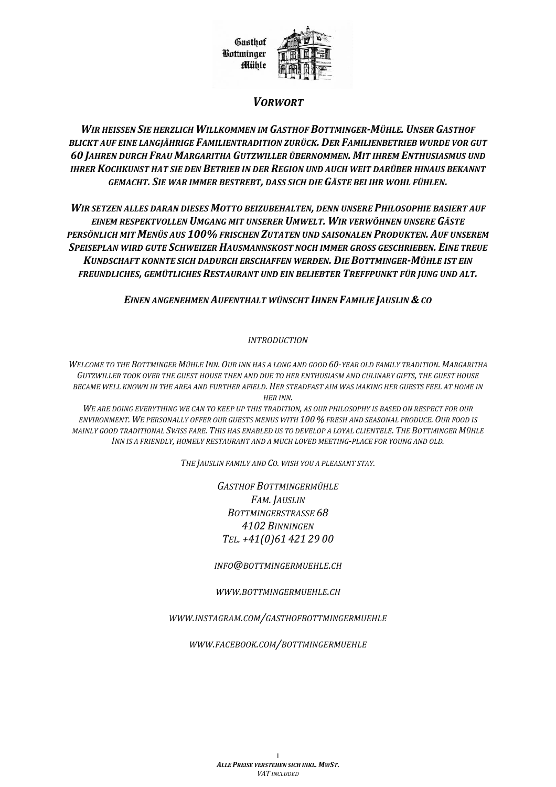

### **VORWORT**

WIR HEISSEN SIE HERZLICH WILLKOMMEN IM GASTHOF BOTTMINGER-MÜHLE. UNSER GASTHOF BLICKT AUF EINE LANGIÄHRIGE FAMILIENTRADITION ZURÜCK. DER FAMILIENBETRIEB WURDE VOR GUT 60 JAHREN DURCH FRAU MARGARITHA GUTZWILLER ÜBERNOMMEN. MIT IHREM ENTHUSIASMUS UND IHRER KOCHKUNST HAT SIE DEN BETRIEB IN DER REGION UND AUCH WEIT DARÜBER HINAUS BEKANNT GEMACHT. SIE WAR IMMER BESTREBT, DASS SICH DIE GÄSTE BEI IHR WOHL FÜHLEN.

WIR SETZEN ALLES DARAN DIESES MOTTO BEIZUBEHALTEN, DENN UNSERE PHILOSOPHIE BASIERT AUF EINEM RESPEKTVOLLEN UMGANG MIT UNSERER UMWELT. WIR VERWÖHNEN UNSERE GÄSTE PERSÖNLICH MIT MENÜS AUS 100% FRISCHEN ZUTATEN UND SAISONALEN PRODUKTEN. AUF UNSEREM SPEISEPLAN WIRD GUTE SCHWEIZER HAUSMANNSKOST NOCH IMMER GROSS GESCHRIEBEN. EINE TREUE KUNDSCHAFT KONNTE SICH DADURCH ERSCHAFFEN WERDEN. DIE BOTTMINGER-MÜHLE IST EIN FREUNDLICHES, GEMÜTLICHES RESTAURANT UND EIN BELIEBTER TREFFPUNKT FÜR JUNG UND ALT.

EINEN ANGENEHMEN AUFENTHALT WÜNSCHT IHNEN FAMILIE JAUSLIN & CO

#### **INTRODUCTION**

WELCOME TO THE BOTTMINGER MÜHLE INN. OUR INN HAS A LONG AND GOOD 60-YEAR OLD FAMILY TRADITION. MARGARITHA GUTZWILLER TOOK OVER THE GUEST HOUSE THEN AND DUE TO HER ENTHUSIASM AND CULINARY GIFTS. THE GUEST HOUSE BECAME WELL KNOWN IN THE AREA AND FURTHER AFIELD. HER STEADFAST AIM WAS MAKING HER GUESTS FEEL AT HOME IN **HER INN.** 

WE ARE DOING EVERYTHING WE CAN TO KEEP UP THIS TRADITION, AS OUR PHILOSOPHY IS BASED ON RESPECT FOR OUR ENVIRONMENT. WE PERSONALLY OFFER OUR GUESTS MENUS WITH 100 % FRESH AND SEASONAL PRODUCE. OUR FOOD IS MAINLY GOOD TRADITIONAL SWISS FARE. THIS HAS ENABLED US TO DEVELOP A LOYAL CLIENTELE. THE BOTTMINGER MÜHLE INN IS A FRIENDLY, HOMELY RESTAURANT AND A MUCH LOVED MEETING-PLACE FOR YOUNG AND OLD.

THE JAUSLIN FAMILY AND CO. WISH YOU A PLEASANT STAY.

**GASTHOF BOTTMINGERMÜHLE** FAM. JAUSLIN **BOTTMINGERSTRASSE 68** 4102 BINNINGEN TEL. +41(0)61 421 29 00

INFO@BOTTMINGERMUEHLE.CH

#### WWW.BOTTMINGERMUEHLE.CH

WWW.INSTAGRAM.COM/GASTHOFBOTTMINGERMUEHLE

WWW.FACEBOOK.COM/BOTTMINGERMUEHLE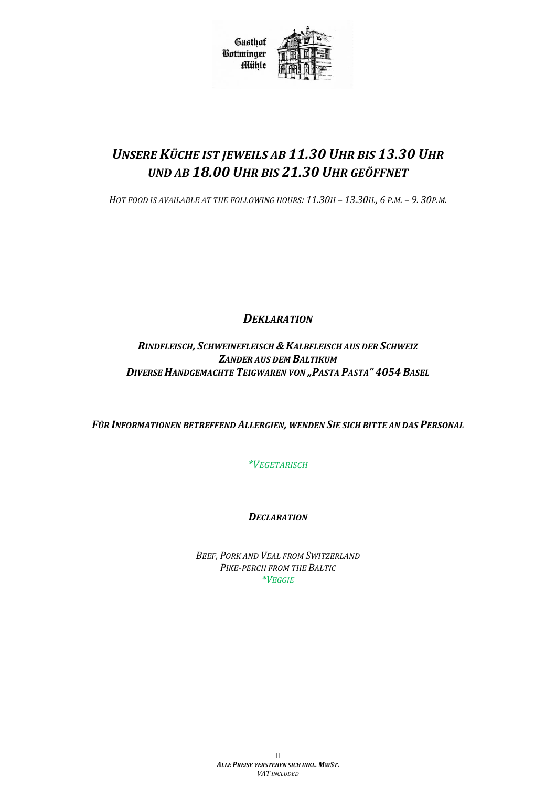

# *UNSERE KÜCHE IST JEWEILS AB 11.30 UHR BIS 13.30 UHR UND AB 18.00 UHR BIS 21.30 UHR GEÖFFNET*

HOT FOOD IS AVAILABLE AT THE FOLLOWING HOURS: 11.30H - 13.30H., 6 P.M. - 9.30P.M.

*DEKLARATION*

*RINDFLEISCH, SCHWEINEFLEISCH & KALBFLEISCH AUS DER SCHWEIZ ZANDER AUS DEM BALTIKUM DIVERSE HANDGEMACHTE TEIGWAREN VON "PASTA PASTA" 4054 BASEL*

*FÜR INFORMATIONEN BETREFFEND ALLERGIEN, WENDEN SIE SICH BITTE AN DAS PERSONAL*

*\*VEGETARISCH*

*DECLARATION*

*BEEF, PORK AND VEAL FROM SWITZERLAND PIKE-PERCH FROM THE BALTIC \*VEGGIE*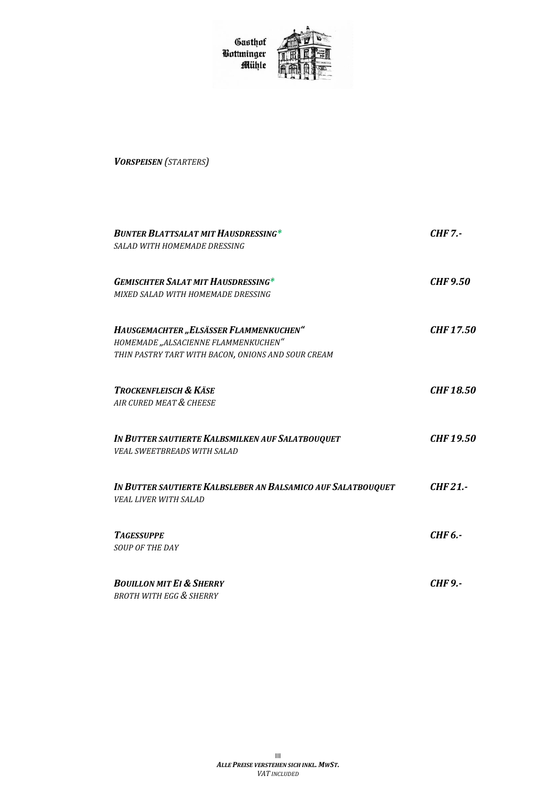Gasthof<br>Bottminger<br>Mühle



*VORSPEISEN (STARTERS)*

| <b>BUNTER BLATTSALAT MIT HAUSDRESSING*</b><br>SALAD WITH HOMEMADE DRESSING      | <b>CHF 7.-</b>   |
|---------------------------------------------------------------------------------|------------------|
| <b>GEMISCHTER SALAT MIT HAUSDRESSING*</b><br>MIXED SALAD WITH HOMEMADE DRESSING | <b>CHF 9.50</b>  |
|                                                                                 |                  |
| HAUSGEMACHTER "ELSÄSSER FLAMMENKUCHEN"                                          | <b>CHF17.50</b>  |
| HOMEMADE "ALSACIENNE FLAMMENKUCHEN"                                             |                  |
| THIN PASTRY TART WITH BACON, ONIONS AND SOUR CREAM                              |                  |
| <b>TROCKENFLEISCH &amp; KÄSE</b>                                                | <b>CHF 18.50</b> |
| AIR CURED MEAT & CHEESE                                                         |                  |
| IN BUTTER SAUTIERTE KALBSMILKEN AUF SALATBOUQUET                                | <b>CHF19.50</b>  |
| <b>VEAL SWEETBREADS WITH SALAD</b>                                              |                  |
| IN BUTTER SAUTIERTE KALBSLEBER AN BALSAMICO AUF SALATBOUQUET                    | CHF21.           |
| <b>VEAL LIVER WITH SALAD</b>                                                    |                  |
| <b>TAGESSUPPE</b>                                                               | CHF 6.-          |
| <b>SOUP OF THE DAY</b>                                                          |                  |
| <b>BOUILLON MIT EI &amp; SHERRY</b>                                             | <b>CHF 9.-</b>   |
| <b>BROTH WITH EGG &amp; SHERRY</b>                                              |                  |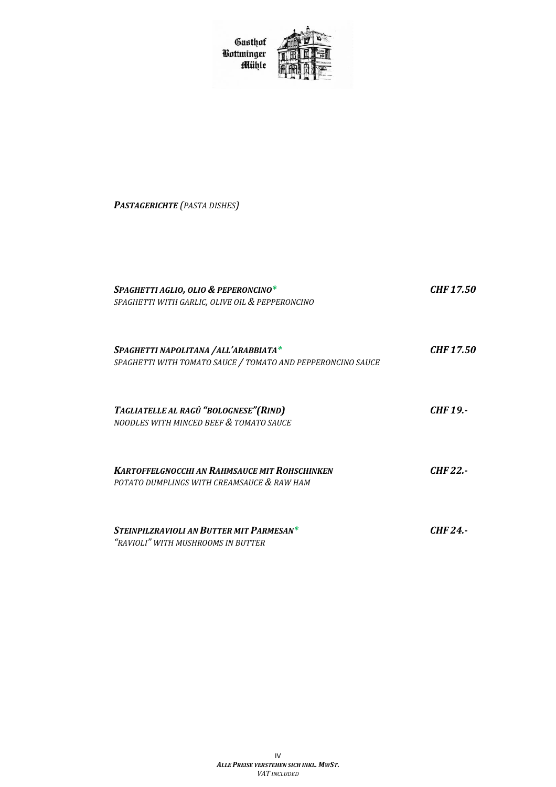Gasthof<br>Bottminger<br>Mühle



*PASTAGERICHTE (PASTA DISHES)*

| SPAGHETTI AGLIO, OLIO & PEPERONCINO*<br>SPAGHETTI WITH GARLIC, OLIVE OIL & PEPPERONCINO             | <b>CHF 17.50</b> |
|-----------------------------------------------------------------------------------------------------|------------------|
| SPAGHETTI NAPOLITANA /ALL'ARABBIATA*<br>SPAGHETTI WITH TOMATO SAUCE / TOMATO AND PEPPERONCINO SAUCE | <i>CHF 17.50</i> |
| TAGLIATELLE AL RAGÛ "BOLOGNESE" (RIND)<br>NOODLES WITH MINCED BEEF & TOMATO SAUCE                   | <b>CHF 19.-</b>  |
| <b>KARTOFFELGNOCCHI AN RAHMSAUCE MIT ROHSCHINKEN</b><br>POTATO DUMPLINGS WITH CREAMSAUCE & RAW HAM  | <b>CHF 22.-</b>  |
| STEINPILZRAVIOLI AN BUTTER MIT PARMESAN*<br>"RAVIOLI" WITH MUSHROOMS IN BUTTER                      | CHF 24 -         |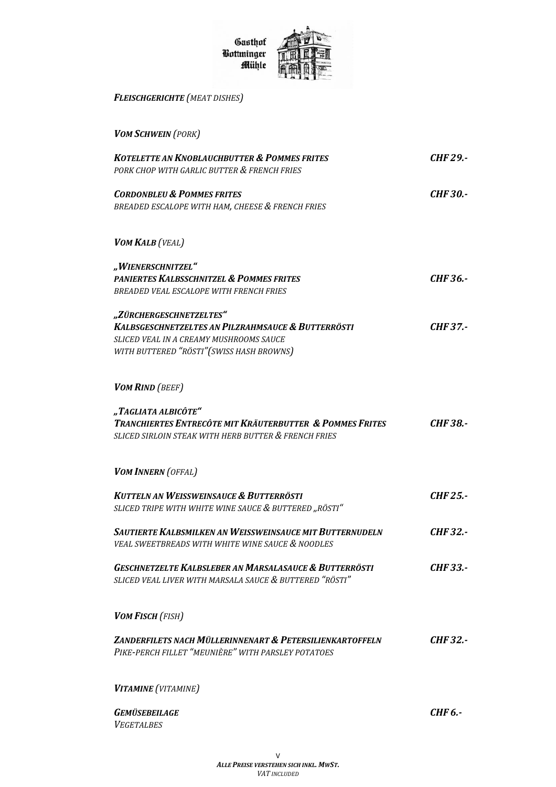

*FLEISCHGERICHTE (MEAT DISHES)*

*VOM SCHWEIN (PORK)*

| <b>KOTELETTE AN KNOBLAUCHBUTTER &amp; POMMES FRITES</b><br>PORK CHOP WITH GARLIC BUTTER & FRENCH FRIES                                                                           | <b>CHF 29.-</b> |
|----------------------------------------------------------------------------------------------------------------------------------------------------------------------------------|-----------------|
| <b>CORDONBLEU &amp; POMMES FRITES</b><br>BREADED ESCALOPE WITH HAM, CHEESE & FRENCH FRIES                                                                                        | <b>CHF 30.-</b> |
| VOM KALB (VEAL)                                                                                                                                                                  |                 |
| "WIENERSCHNITZEL"<br>PANIERTES KALBSSCHNITZEL & POMMES FRITES<br>BREADED VEAL ESCALOPE WITH FRENCH FRIES                                                                         | CHF 36.-        |
| "ZÜRCHERGESCHNETZELTES"<br><b>KALBSGESCHNETZELTES AN PILZRAHMSAUCE &amp; BUTTERRÖSTI</b><br>SLICED VEAL IN A CREAMY MUSHROOMS SAUCE<br>WITH BUTTERED "RÖSTI" (SWISS HASH BROWNS) | <b>CHF37.-</b>  |
| <b>VOM RIND</b> (BEEF)                                                                                                                                                           |                 |
| "TAGLIATA ALBICÔTE"<br>TRANCHIERTES ENTRECÔTE MIT KRÄUTERBUTTER & POMMES FRITES<br>SLICED SIRLOIN STEAK WITH HERB BUTTER & FRENCH FRIES                                          | <b>CHF38.-</b>  |
| <b>VOM INNERN</b> (OFFAL)                                                                                                                                                        |                 |
| <b>KUTTELN AN WEISSWEINSAUCE &amp; BUTTERRÖSTI</b><br>SLICED TRIPE WITH WHITE WINE SAUCE & BUTTERED "RÖSTI"                                                                      | <b>CHF 25.-</b> |
| SAUTIERTE KALBSMILKEN AN WEISSWEINSAUCE MIT BUTTERNUDELN<br>VEAL SWEETBREADS WITH WHITE WINE SAUCE & NOODLES                                                                     | <b>CHF 32.-</b> |
| <b>GESCHNETZELTE KALBSLEBER AN MARSALASAUCE &amp; BUTTERRÖSTI</b><br>SLICED VEAL LIVER WITH MARSALA SAUCE & BUTTERED "RÖSTI"                                                     | <b>CHF 33.-</b> |
| <b>VOM FISCH (FISH)</b>                                                                                                                                                          |                 |
| ZANDERFILETS NACH MÜLLERINNENART & PETERSILIENKARTOFFELN<br>PIKE-PERCH FILLET "MEUNIÈRE" WITH PARSLEY POTATOES                                                                   | <b>CHF 32.-</b> |
| VITAMINE (VITAMINE)                                                                                                                                                              |                 |
| <b>GEMÜSEBEILAGE</b><br><b>VEGETALBES</b>                                                                                                                                        | <b>CHF 6.-</b>  |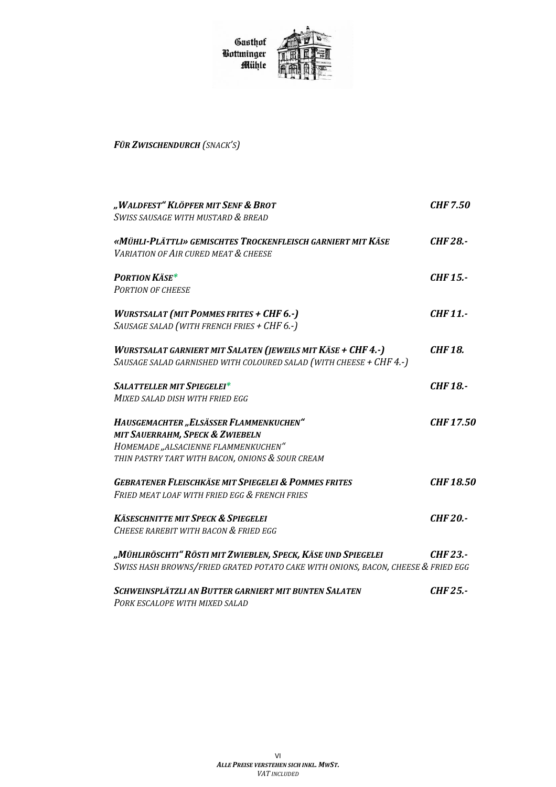Gasthof<br>Bottminger Mühle



## FÜR ZWISCHENDURCH (SNACK'S)

| SWISS SAUSAGE WITH MUSTARD & BREAD                                                                                                  |                  |
|-------------------------------------------------------------------------------------------------------------------------------------|------------------|
|                                                                                                                                     |                  |
| «MÜHLI-PLÄTTLI» GEMISCHTES TROCKENFLEISCH GARNIERT MIT KÄSE<br><b>VARIATION OF AIR CURED MEAT &amp; CHEESE</b>                      | <b>CHF 28.-</b>  |
| <b>PORTION KÄSE*</b>                                                                                                                | <b>CHF 15.-</b>  |
| <b>PORTION OF CHEESE</b>                                                                                                            |                  |
| <b>WURSTSALAT (MIT POMMES FRITES + CHF 6.-)</b><br>SAUSAGE SALAD (WITH FRENCH FRIES + CHF 6.-)                                      | CHF 11.-         |
| WURSTSALAT GARNIERT MIT SALATEN (JEWEILS MIT KÄSE + CHF 4.-)<br>SAUSAGE SALAD GARNISHED WITH COLOURED SALAD (WITH CHEESE + CHF 4.-) | <b>CHF 18.</b>   |
| <b>SALATTELLER MIT SPIEGELEI*</b>                                                                                                   | <b>CHF 18.-</b>  |
| MIXED SALAD DISH WITH FRIED EGG                                                                                                     |                  |
| HAUSGEMACHTER "ELSÄSSER FLAMMENKUCHEN"                                                                                              | <b>CHF 17.50</b> |
| MIT SAUERRAHM, SPECK & ZWIEBELN                                                                                                     |                  |
| HOMEMADE "ALSACIENNE FLAMMENKUCHEN"                                                                                                 |                  |
| THIN PASTRY TART WITH BACON, ONIONS & SOUR CREAM                                                                                    |                  |
| <b>GEBRATENER FLEISCHKÄSE MIT SPIEGELEI &amp; POMMES FRITES</b>                                                                     | <b>CHF 18.50</b> |
| FRIED MEAT LOAF WITH FRIED EGG & FRENCH FRIES                                                                                       |                  |
| <b>KÄSESCHNITTE MIT SPECK &amp; SPIEGELEI</b>                                                                                       | <b>CHF 20.-</b>  |
| CHEESE RAREBIT WITH BACON & FRIED EGG                                                                                               |                  |
| "Mühliröschti" Rösti mit Zwieblen, Speck, Käse und Spiegelei                                                                        | CHF 23.-         |
| SWISS HASH BROWNS/FRIED GRATED POTATO CAKE WITH ONIONS, BACON, CHEESE & FRIED EGG                                                   |                  |
| SCHWEINSPLÄTZLI AN BUTTER GARNIERT MIT BUNTEN SALATEN                                                                               | CHF 25.-         |

PORK ESCALOPE WITH MIXED SALAD